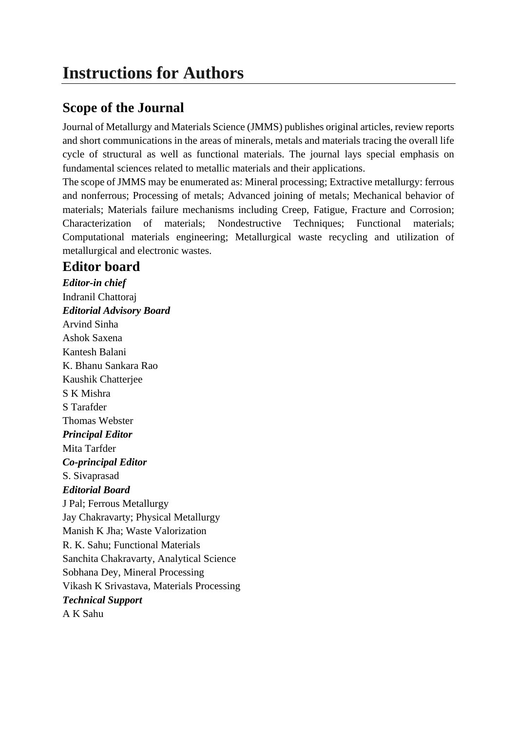# **Scope of the Journal**

Journal of Metallurgy and Materials Science (JMMS) publishes original articles, review reports and short communications in the areas of minerals, metals and materials tracing the overall life cycle of structural as well as functional materials. The journal lays special emphasis on fundamental sciences related to metallic materials and their applications.

The scope of JMMS may be enumerated as: Mineral processing; Extractive metallurgy: ferrous and nonferrous; Processing of metals; Advanced joining of metals; Mechanical behavior of materials; Materials failure mechanisms including Creep, Fatigue, Fracture and Corrosion; Characterization of materials; Nondestructive Techniques; Functional materials; Computational materials engineering; Metallurgical waste recycling and utilization of metallurgical and electronic wastes.

## **Editor board**

*Editor-in chief* Indranil Chattoraj *Editorial Advisory Board* Arvind Sinha Ashok Saxena Kantesh Balani K. Bhanu Sankara Rao Kaushik Chatterjee S K Mishra S Tarafder Thomas Webster *Principal Editor* Mita Tarfder *Co-principal Editor* S. Sivaprasad *Editorial Board* J Pal; Ferrous Metallurgy Jay Chakravarty; Physical Metallurgy Manish K Jha; Waste Valorization R. K. Sahu; Functional Materials Sanchita Chakravarty, Analytical Science Sobhana Dey, Mineral Processing Vikash K Srivastava, Materials Processing *Technical Support* A K Sahu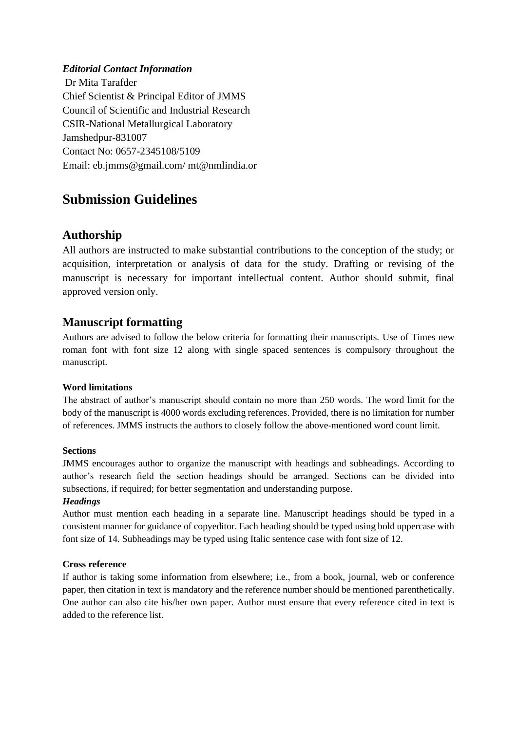#### *Editorial Contact Information*

Dr Mita Tarafder Chief Scientist & Principal Editor of JMMS Council of Scientific and Industrial Research CSIR-National Metallurgical Laboratory Jamshedpur-831007 Contact No: 0657-2345108/5109 Email: eb.jmms@gmail.com/ mt@nmlindia.or

## **Submission Guidelines**

## **Authorship**

All authors are instructed to make substantial contributions to the conception of the study; or acquisition, interpretation or analysis of data for the study. Drafting or revising of the manuscript is necessary for important intellectual content. Author should submit, final approved version only.

## **Manuscript formatting**

Authors are advised to follow the below criteria for formatting their manuscripts. Use of Times new roman font with font size 12 along with single spaced sentences is compulsory throughout the manuscript.

#### **Word limitations**

The abstract of author's manuscript should contain no more than 250 words. The word limit for the body of the manuscript is 4000 words excluding references. Provided, there is no limitation for number of references. JMMS instructs the authors to closely follow the above-mentioned word count limit.

#### **Sections**

JMMS encourages author to organize the manuscript with headings and subheadings. According to author's research field the section headings should be arranged. Sections can be divided into subsections, if required; for better segmentation and understanding purpose.

#### *Headings*

Author must mention each heading in a separate line. Manuscript headings should be typed in a consistent manner for guidance of copyeditor. Each heading should be typed using bold uppercase with font size of 14. Subheadings may be typed using Italic sentence case with font size of 12.

#### **Cross reference**

If author is taking some information from elsewhere; i.e., from a book, journal, web or conference paper, then citation in text is mandatory and the reference number should be mentioned parenthetically. One author can also cite his/her own paper. Author must ensure that every reference cited in text is added to the reference list.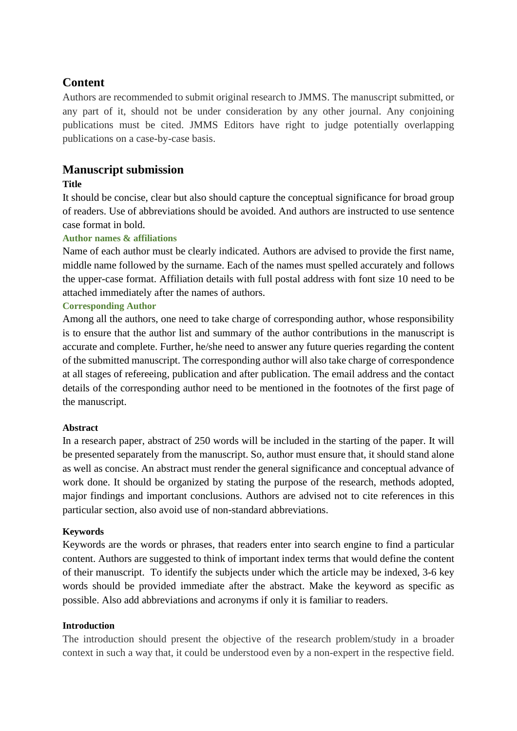## **Content**

Authors are recommended to submit original research to JMMS. The manuscript submitted, or any part of it, should not be under consideration by any other journal. Any conjoining publications must be cited. JMMS Editors have right to judge potentially overlapping publications on a case-by-case basis.

## **Manuscript submission**

## **Title**

It should be concise, clear but also should capture the conceptual significance for broad group of readers. Use of abbreviations should be avoided. And authors are instructed to use sentence case format in bold.

## **Author names & affiliations**

Name of each author must be clearly indicated. Authors are advised to provide the first name, middle name followed by the surname. Each of the names must spelled accurately and follows the upper-case format. Affiliation details with full postal address with font size 10 need to be attached immediately after the names of authors.

## **Corresponding Author**

Among all the authors, one need to take charge of corresponding author, whose responsibility is to ensure that the author list and summary of the author contributions in the manuscript is accurate and complete. Further, he/she need to answer any future queries regarding the content of the submitted manuscript. The corresponding author will also take charge of correspondence at all stages of refereeing, publication and after publication. The email address and the contact details of the corresponding author need to be mentioned in the footnotes of the first page of the manuscript.

### **Abstract**

In a research paper, abstract of 250 words will be included in the starting of the paper. It will be presented separately from the manuscript. So, author must ensure that, it should stand alone as well as concise. An abstract must render the general significance and conceptual advance of work done. It should be organized by stating the purpose of the research, methods adopted, major findings and important conclusions. Authors are advised not to cite references in this particular section, also avoid use of non-standard abbreviations.

### **Keywords**

Keywords are the words or phrases, that readers enter into search engine to find a particular content. Authors are suggested to think of important index terms that would define the content of their manuscript. To identify the subjects under which the article may be indexed, 3-6 key words should be provided immediate after the abstract. Make the keyword as specific as possible. Also add abbreviations and acronyms if only it is familiar to readers.

### **Introduction**

The introduction should present the objective of the research problem/study in a broader context in such a way that, it could be understood even by a non-expert in the respective field.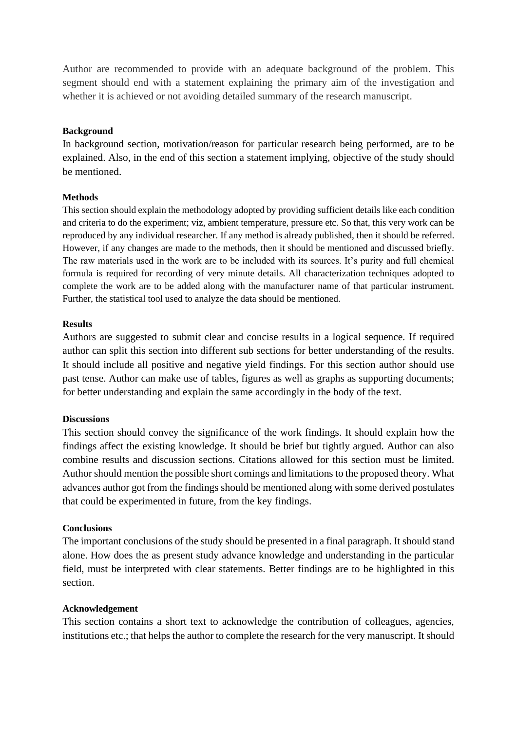Author are recommended to provide with an adequate background of the problem. This segment should end with a statement explaining the primary aim of the investigation and whether it is achieved or not avoiding detailed summary of the research manuscript.

#### **Background**

In background section, motivation/reason for particular research being performed, are to be explained. Also, in the end of this section a statement implying, objective of the study should be mentioned.

#### **Methods**

This section should explain the methodology adopted by providing sufficient details like each condition and criteria to do the experiment; viz, ambient temperature, pressure etc. So that, this very work can be reproduced by any individual researcher. If any method is already published, then it should be referred. However, if any changes are made to the methods, then it should be mentioned and discussed briefly. The raw materials used in the work are to be included with its sources. It's purity and full chemical formula is required for recording of very minute details. All characterization techniques adopted to complete the work are to be added along with the manufacturer name of that particular instrument. Further, the statistical tool used to analyze the data should be mentioned.

#### **Results**

Authors are suggested to submit clear and concise results in a logical sequence. If required author can split this section into different sub sections for better understanding of the results. It should include all positive and negative yield findings. For this section author should use past tense. Author can make use of tables, figures as well as graphs as supporting documents; for better understanding and explain the same accordingly in the body of the text.

#### **Discussions**

This section should convey the significance of the work findings. It should explain how the findings affect the existing knowledge. It should be brief but tightly argued. Author can also combine results and discussion sections. Citations allowed for this section must be limited. Author should mention the possible short comings and limitations to the proposed theory. What advances author got from the findings should be mentioned along with some derived postulates that could be experimented in future, from the key findings.

#### **Conclusions**

The important conclusions of the study should be presented in a final paragraph. It should stand alone. How does the as present study advance knowledge and understanding in the particular field, must be interpreted with clear statements. Better findings are to be highlighted in this section.

#### **Acknowledgement**

This section contains a short text to acknowledge the contribution of colleagues, agencies, institutions etc.; that helps the author to complete the research for the very manuscript. It should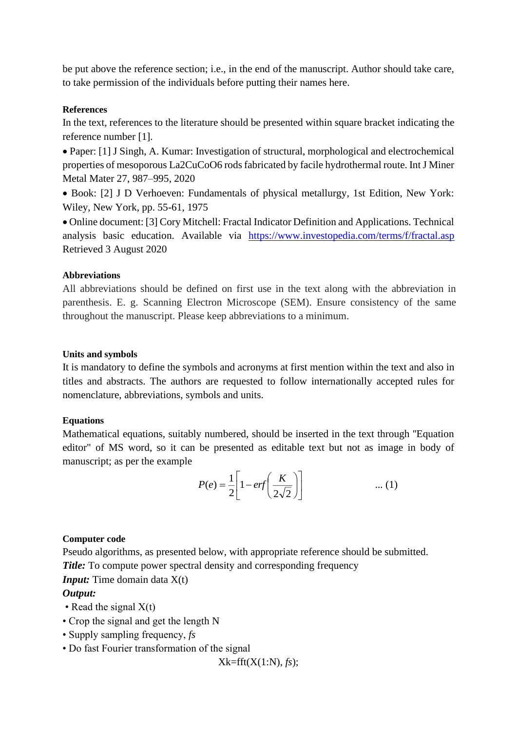be put above the reference section; i.e., in the end of the manuscript. Author should take care, to take permission of the individuals before putting their names here.

#### **References**

In the text, references to the literature should be presented within square bracket indicating the reference number [1].

• Paper: [1] J Singh, A. Kumar: Investigation of structural, morphological and electrochemical properties of mesoporous La2CuCoO6 rods fabricated by facile hydrothermal route. Int J Miner Metal Mater 27, 987–995, 2020

• Book: [2] J D Verhoeven: Fundamentals of physical metallurgy, 1st Edition, New York: Wiley, New York, pp. 55-61, 1975

• Online document: [3] Cory Mitchell: Fractal Indicator Definition and Applications. Technical analysis basic education. Available via [https://www.investopedia.com/terms/f/fractal.asp](https://www.investopedia.com/terms/f/fractal.asp%20Retrieved%203%20August%202020)  [Retrieved 3 August 2020](https://www.investopedia.com/terms/f/fractal.asp%20Retrieved%203%20August%202020)

#### **Abbreviations**

All abbreviations should be defined on first use in the text along with the abbreviation in parenthesis. E. g. Scanning Electron Microscope (SEM). Ensure consistency of the same throughout the manuscript. Please keep abbreviations to a minimum.

#### **Units and symbols**

It is mandatory to define the symbols and acronyms at first mention within the text and also in titles and abstracts. The authors are requested to follow internationally accepted rules for nomenclature, abbreviations, symbols and units.

### **Equations**

Mathematical equations, suitably numbered, should be inserted in the text through ''Equation editor" of MS word, so it can be presented as editable text but not as image in body of manuscript; as per the example

$$
P(e) = \frac{1}{2} \left[ 1 - erf\left(\frac{K}{2\sqrt{2}}\right) \right] \qquad \qquad \dots (1)
$$

### **Computer code**

Pseudo algorithms, as presented below, with appropriate reference should be submitted.

*Title:* To compute power spectral density and corresponding frequency

## *Input:* Time domain data  $X(t)$

## *Output:*

- Read the signal  $X(t)$
- Crop the signal and get the length N
- Supply sampling frequency, *fs*
- Do fast Fourier transformation of the signal

Xk=fft(X(1:N), *fs*);